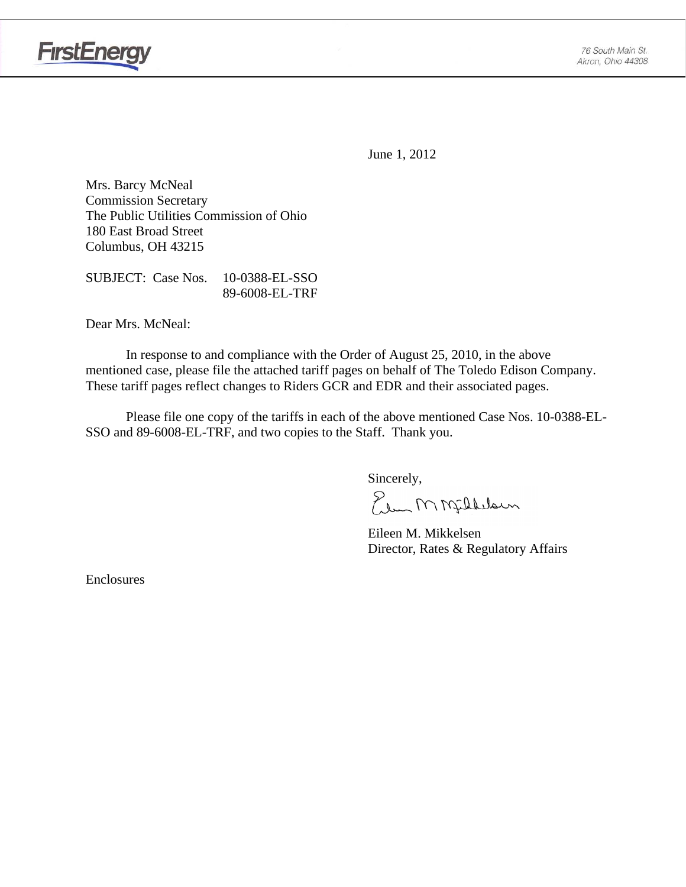

June 1, 2012

Mrs. Barcy McNeal Commission Secretary The Public Utilities Commission of Ohio 180 East Broad Street Columbus, OH 43215

SUBJECT: Case Nos. 10-0388-EL-SSO 89-6008-EL-TRF

Dear Mrs. McNeal:

 In response to and compliance with the Order of August 25, 2010, in the above mentioned case, please file the attached tariff pages on behalf of The Toledo Edison Company. These tariff pages reflect changes to Riders GCR and EDR and their associated pages.

Please file one copy of the tariffs in each of the above mentioned Case Nos. 10-0388-EL-SSO and 89-6008-EL-TRF, and two copies to the Staff. Thank you.

Sincerely,

Elem M Milleloun

 Eileen M. Mikkelsen Director, Rates & Regulatory Affairs

Enclosures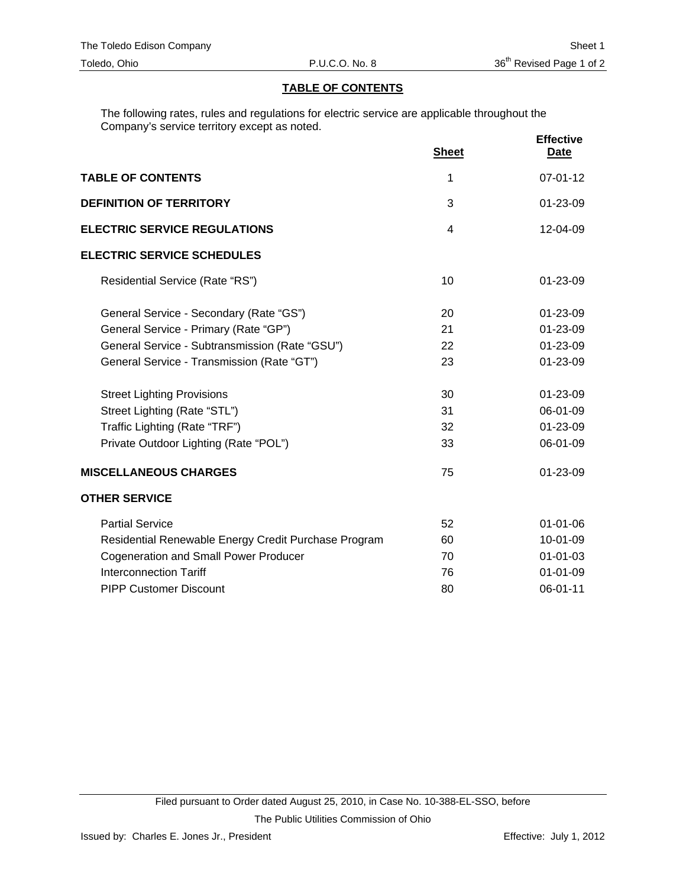# **TABLE OF CONTENTS**

The following rates, rules and regulations for electric service are applicable throughout the Company's service territory except as noted.

|                                                      | <b>Sheet</b>   | <b>Effective</b><br><b>Date</b> |
|------------------------------------------------------|----------------|---------------------------------|
| <b>TABLE OF CONTENTS</b>                             | 1              | $07 - 01 - 12$                  |
| <b>DEFINITION OF TERRITORY</b>                       | 3              | 01-23-09                        |
| <b>ELECTRIC SERVICE REGULATIONS</b>                  | $\overline{4}$ | $12 - 04 - 09$                  |
| <b>ELECTRIC SERVICE SCHEDULES</b>                    |                |                                 |
| Residential Service (Rate "RS")                      | 10             | 01-23-09                        |
| General Service - Secondary (Rate "GS")              | 20             | 01-23-09                        |
| General Service - Primary (Rate "GP")                | 21             | $01 - 23 - 09$                  |
| General Service - Subtransmission (Rate "GSU")       | 22             | 01-23-09                        |
| General Service - Transmission (Rate "GT")           | 23             | $01 - 23 - 09$                  |
| <b>Street Lighting Provisions</b>                    | 30             | 01-23-09                        |
| Street Lighting (Rate "STL")                         | 31             | 06-01-09                        |
| Traffic Lighting (Rate "TRF")                        | 32             | 01-23-09                        |
| Private Outdoor Lighting (Rate "POL")                | 33             | 06-01-09                        |
| <b>MISCELLANEOUS CHARGES</b>                         | 75             | 01-23-09                        |
| <b>OTHER SERVICE</b>                                 |                |                                 |
| <b>Partial Service</b>                               | 52             | $01 - 01 - 06$                  |
| Residential Renewable Energy Credit Purchase Program | 60             | 10-01-09                        |
| <b>Cogeneration and Small Power Producer</b>         | 70             | $01 - 01 - 03$                  |
| <b>Interconnection Tariff</b>                        | 76             | $01 - 01 - 09$                  |
| <b>PIPP Customer Discount</b>                        | 80             | 06-01-11                        |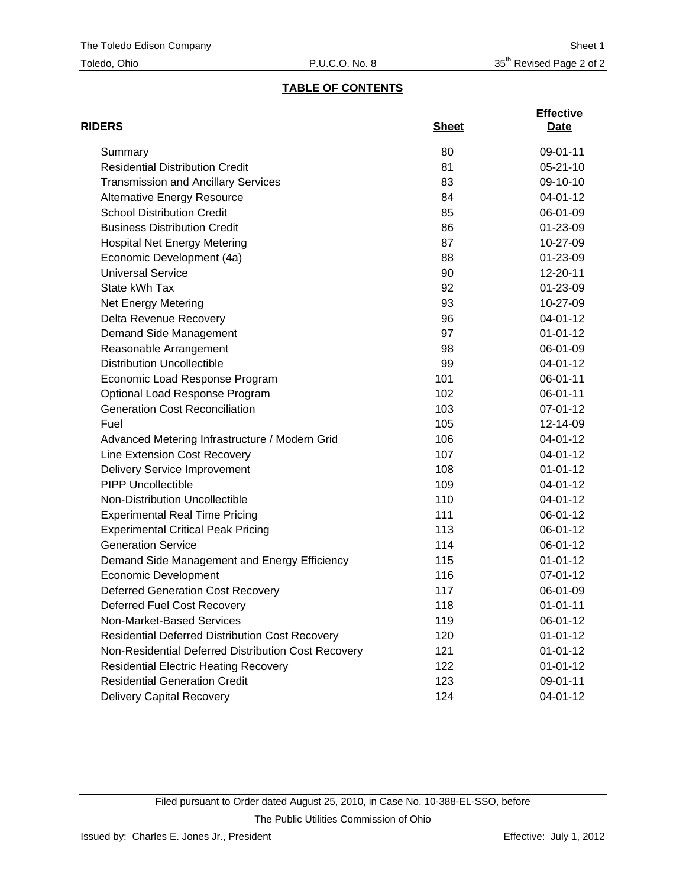# **TABLE OF CONTENTS**

| <b>RIDERS</b>                                          | <b>Sheet</b> | <b>Effective</b><br>Date |
|--------------------------------------------------------|--------------|--------------------------|
| Summary                                                | 80           | 09-01-11                 |
| <b>Residential Distribution Credit</b>                 | 81           | $05 - 21 - 10$           |
| <b>Transmission and Ancillary Services</b>             | 83           | 09-10-10                 |
| <b>Alternative Energy Resource</b>                     | 84           | 04-01-12                 |
| <b>School Distribution Credit</b>                      | 85           | 06-01-09                 |
| <b>Business Distribution Credit</b>                    | 86           | 01-23-09                 |
| <b>Hospital Net Energy Metering</b>                    | 87           | 10-27-09                 |
| Economic Development (4a)                              | 88           | 01-23-09                 |
| <b>Universal Service</b>                               | 90           | 12-20-11                 |
| State kWh Tax                                          | 92           | 01-23-09                 |
| <b>Net Energy Metering</b>                             | 93           | 10-27-09                 |
| Delta Revenue Recovery                                 | 96           | 04-01-12                 |
| Demand Side Management                                 | 97           | $01 - 01 - 12$           |
| Reasonable Arrangement                                 | 98           | 06-01-09                 |
| <b>Distribution Uncollectible</b>                      | 99           | 04-01-12                 |
| Economic Load Response Program                         | 101          | 06-01-11                 |
| Optional Load Response Program                         | 102          | 06-01-11                 |
| <b>Generation Cost Reconciliation</b>                  | 103          | 07-01-12                 |
| Fuel                                                   | 105          | 12-14-09                 |
| Advanced Metering Infrastructure / Modern Grid         | 106          | 04-01-12                 |
| Line Extension Cost Recovery                           | 107          | 04-01-12                 |
| <b>Delivery Service Improvement</b>                    | 108          | $01 - 01 - 12$           |
| <b>PIPP Uncollectible</b>                              | 109          | 04-01-12                 |
| Non-Distribution Uncollectible                         | 110          | 04-01-12                 |
| <b>Experimental Real Time Pricing</b>                  | 111          | 06-01-12                 |
| <b>Experimental Critical Peak Pricing</b>              | 113          | 06-01-12                 |
| <b>Generation Service</b>                              | 114          | 06-01-12                 |
| Demand Side Management and Energy Efficiency           | 115          | $01 - 01 - 12$           |
| <b>Economic Development</b>                            | 116          | 07-01-12                 |
| <b>Deferred Generation Cost Recovery</b>               | 117          | 06-01-09                 |
| Deferred Fuel Cost Recovery                            | 118          | $01 - 01 - 11$           |
| Non-Market-Based Services                              | 119          | 06-01-12                 |
| <b>Residential Deferred Distribution Cost Recovery</b> | 120          | $01 - 01 - 12$           |
| Non-Residential Deferred Distribution Cost Recovery    | 121          | $01 - 01 - 12$           |
| <b>Residential Electric Heating Recovery</b>           | 122          | $01 - 01 - 12$           |
| <b>Residential Generation Credit</b>                   | 123          | 09-01-11                 |
| <b>Delivery Capital Recovery</b>                       | 124          | 04-01-12                 |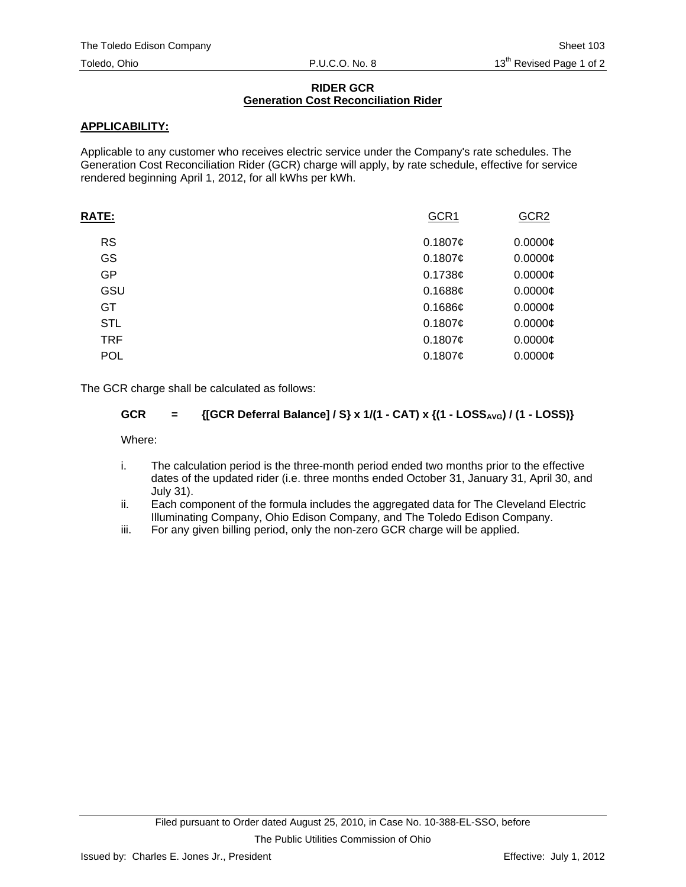## **RIDER GCR Generation Cost Reconciliation Rider**

# **APPLICABILITY:**

Applicable to any customer who receives electric service under the Company's rate schedules. The Generation Cost Reconciliation Rider (GCR) charge will apply, by rate schedule, effective for service rendered beginning April 1, 2012, for all kWhs per kWh.

| <b>RATE:</b> | GCR1       | GCR <sub>2</sub> |
|--------------|------------|------------------|
| <b>RS</b>    | 0.1807¢    | $0.0000$ ¢       |
| GS           | 0.1807¢    | $0.0000$ ¢       |
| GP           | 0.1738¢    | $0.0000$ ¢       |
| GSU          | $0.1688$ ¢ | $0.0000$ ¢       |
| <b>GT</b>    | 0.1686c    | $0.0000$ ¢       |
| <b>STL</b>   | 0.1807¢    | $0.0000$ ¢       |
| <b>TRF</b>   | 0.1807¢    | $0.0000$ ¢       |
| <b>POL</b>   | 0.1807¢    | $0.0000$ ¢       |
|              |            |                  |

The GCR charge shall be calculated as follows:

# **GCR** = {[GCR Deferral Balance] / S} x 1/(1 - CAT) x {(1 - LOSS<sub>AVG</sub>) / (1 - LOSS)}

Where:

- i. The calculation period is the three-month period ended two months prior to the effective dates of the updated rider (i.e. three months ended October 31, January 31, April 30, and July 31).
- ii. Each component of the formula includes the aggregated data for The Cleveland Electric Illuminating Company, Ohio Edison Company, and The Toledo Edison Company.
- iii. For any given billing period, only the non-zero GCR charge will be applied.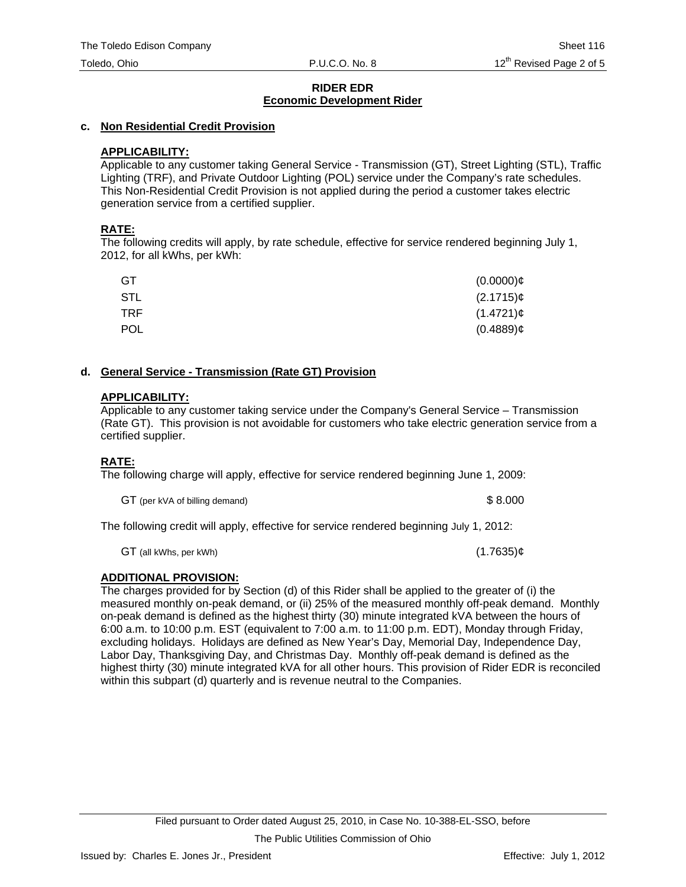# **c. Non Residential Credit Provision**

# **APPLICABILITY:**

Applicable to any customer taking General Service - Transmission (GT), Street Lighting (STL), Traffic Lighting (TRF), and Private Outdoor Lighting (POL) service under the Company's rate schedules. This Non-Residential Credit Provision is not applied during the period a customer takes electric generation service from a certified supplier.

# **RATE:**

The following credits will apply, by rate schedule, effective for service rendered beginning July 1, 2012, for all kWhs, per kWh:

| GT         | $(0.0000)$ ¢   |
|------------|----------------|
| <b>STL</b> | $(2.1715)\phi$ |
| TRF.       | $(1.4721)$ ¢   |
| <b>POL</b> | $(0.4889)$ ¢   |

# **d. General Service - Transmission (Rate GT) Provision**

# **APPLICABILITY:**

Applicable to any customer taking service under the Company's General Service – Transmission (Rate GT). This provision is not avoidable for customers who take electric generation service from a certified supplier.

# **RATE:**

The following charge will apply, effective for service rendered beginning June 1, 2009:

GT (per kVA of billing demand)  $$8.000$ 

The following credit will apply, effective for service rendered beginning July 1, 2012:

 $GT$  (all kWhs, per kWh) (1.7635) $¢$ 

# **ADDITIONAL PROVISION:**

The charges provided for by Section (d) of this Rider shall be applied to the greater of (i) the measured monthly on-peak demand, or (ii) 25% of the measured monthly off-peak demand. Monthly on-peak demand is defined as the highest thirty (30) minute integrated kVA between the hours of 6:00 a.m. to 10:00 p.m. EST (equivalent to 7:00 a.m. to 11:00 p.m. EDT), Monday through Friday, excluding holidays. Holidays are defined as New Year's Day, Memorial Day, Independence Day, Labor Day, Thanksgiving Day, and Christmas Day. Monthly off-peak demand is defined as the highest thirty (30) minute integrated kVA for all other hours. This provision of Rider EDR is reconciled within this subpart (d) quarterly and is revenue neutral to the Companies.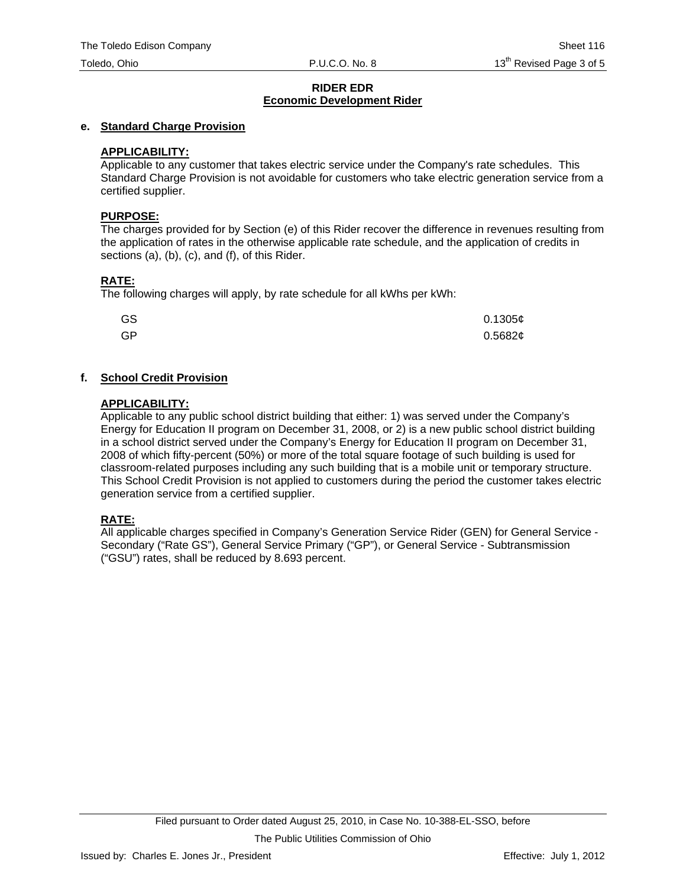# **e. Standard Charge Provision**

# **APPLICABILITY:**

Applicable to any customer that takes electric service under the Company's rate schedules. This Standard Charge Provision is not avoidable for customers who take electric generation service from a certified supplier.

#### **PURPOSE:**

The charges provided for by Section (e) of this Rider recover the difference in revenues resulting from the application of rates in the otherwise applicable rate schedule, and the application of credits in sections (a), (b), (c), and (f), of this Rider.

# **RATE:**

The following charges will apply, by rate schedule for all kWhs per kWh:

| GS | 0.1305¢ |
|----|---------|
| GP | 0.5682¢ |

# **f. School Credit Provision**

#### **APPLICABILITY:**

Applicable to any public school district building that either: 1) was served under the Company's Energy for Education II program on December 31, 2008, or 2) is a new public school district building in a school district served under the Company's Energy for Education II program on December 31, 2008 of which fifty-percent (50%) or more of the total square footage of such building is used for classroom-related purposes including any such building that is a mobile unit or temporary structure. This School Credit Provision is not applied to customers during the period the customer takes electric generation service from a certified supplier.

# **RATE:**

All applicable charges specified in Company's Generation Service Rider (GEN) for General Service - Secondary ("Rate GS"), General Service Primary ("GP"), or General Service - Subtransmission ("GSU") rates, shall be reduced by 8.693 percent.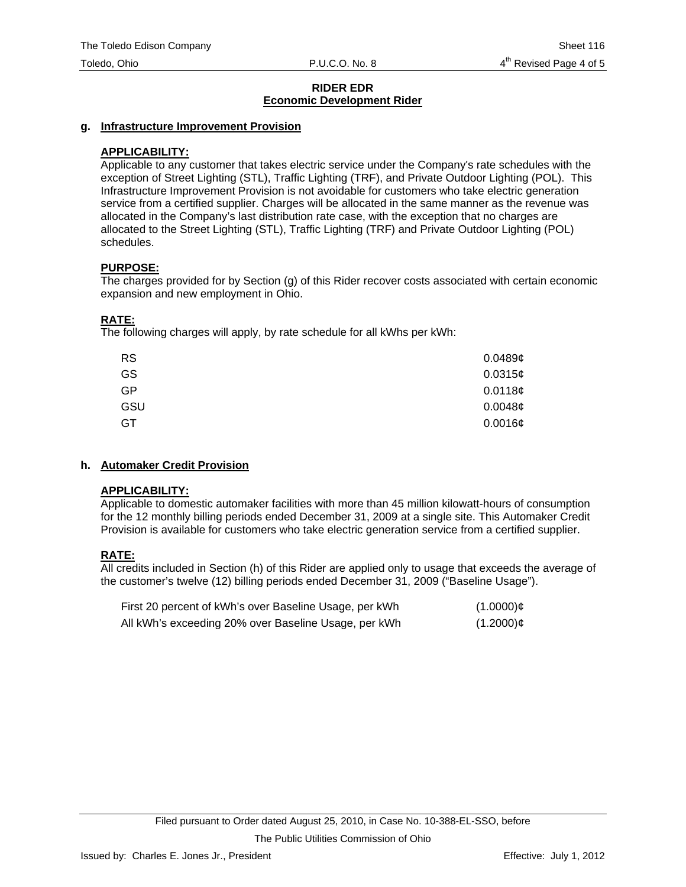#### **g. Infrastructure Improvement Provision**

## **APPLICABILITY:**

Applicable to any customer that takes electric service under the Company's rate schedules with the exception of Street Lighting (STL), Traffic Lighting (TRF), and Private Outdoor Lighting (POL). This Infrastructure Improvement Provision is not avoidable for customers who take electric generation service from a certified supplier. Charges will be allocated in the same manner as the revenue was allocated in the Company's last distribution rate case, with the exception that no charges are allocated to the Street Lighting (STL), Traffic Lighting (TRF) and Private Outdoor Lighting (POL) schedules.

#### **PURPOSE:**

The charges provided for by Section (g) of this Rider recover costs associated with certain economic expansion and new employment in Ohio.

# **RATE:**

The following charges will apply, by rate schedule for all kWhs per kWh:

| <b>RS</b> | 0.0489c    |
|-----------|------------|
| GS        | 0.0315c    |
| GP        | 0.0118¢    |
| GSU       | 0.0048c    |
| GT        | $0.0016$ ¢ |

# **h. Automaker Credit Provision**

#### **APPLICABILITY:**

Applicable to domestic automaker facilities with more than 45 million kilowatt-hours of consumption for the 12 monthly billing periods ended December 31, 2009 at a single site. This Automaker Credit Provision is available for customers who take electric generation service from a certified supplier.

# **RATE:**

All credits included in Section (h) of this Rider are applied only to usage that exceeds the average of the customer's twelve (12) billing periods ended December 31, 2009 ("Baseline Usage").

| First 20 percent of kWh's over Baseline Usage, per kWh | $(1.0000)$ ¢ |
|--------------------------------------------------------|--------------|
| All kWh's exceeding 20% over Baseline Usage, per kWh   | $(1.2000)$ ¢ |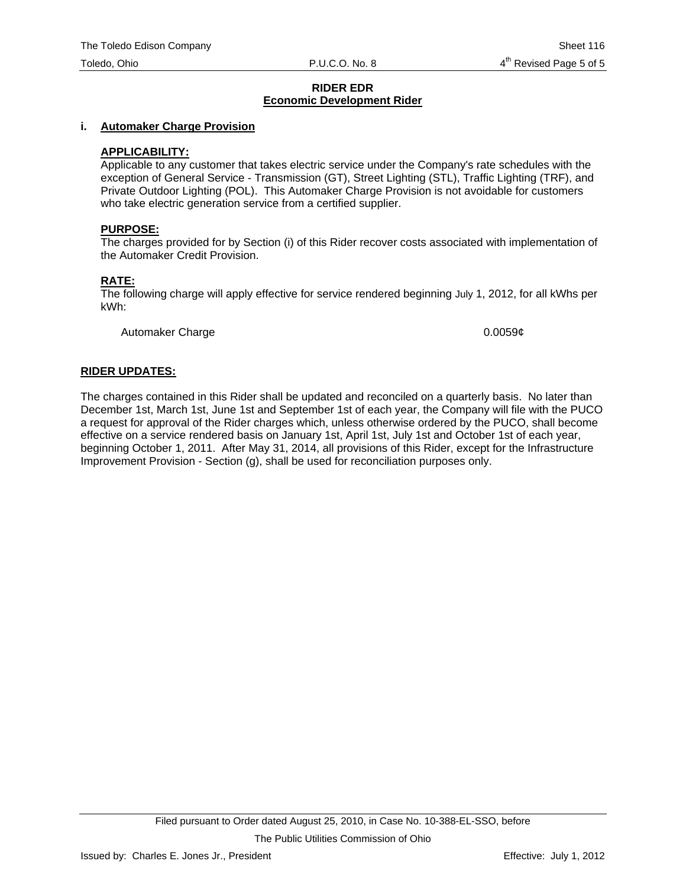#### **i. Automaker Charge Provision**

## **APPLICABILITY:**

Applicable to any customer that takes electric service under the Company's rate schedules with the exception of General Service - Transmission (GT), Street Lighting (STL), Traffic Lighting (TRF), and Private Outdoor Lighting (POL). This Automaker Charge Provision is not avoidable for customers who take electric generation service from a certified supplier.

#### **PURPOSE:**

The charges provided for by Section (i) of this Rider recover costs associated with implementation of the Automaker Credit Provision.

#### **RATE:**

The following charge will apply effective for service rendered beginning July 1, 2012, for all kWhs per kWh:

Automaker Charge 0.0059¢

#### **RIDER UPDATES:**

The charges contained in this Rider shall be updated and reconciled on a quarterly basis. No later than December 1st, March 1st, June 1st and September 1st of each year, the Company will file with the PUCO a request for approval of the Rider charges which, unless otherwise ordered by the PUCO, shall become effective on a service rendered basis on January 1st, April 1st, July 1st and October 1st of each year, beginning October 1, 2011. After May 31, 2014, all provisions of this Rider, except for the Infrastructure Improvement Provision - Section (g), shall be used for reconciliation purposes only.